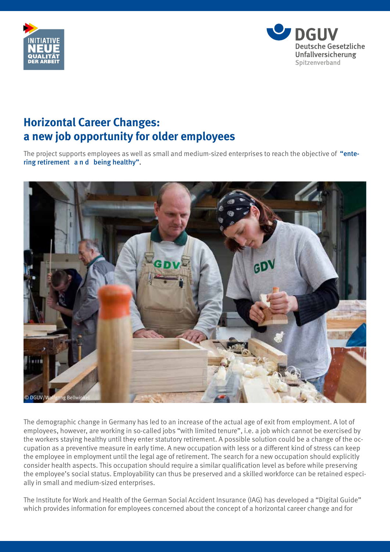



## **Horizontal Career Changes: a new job opportunity for older employees**

The project supports employees as well as small and medium-sized enterprises to reach the objective of "entering retirement a n d being healthy".



The demographic change in Germany has led to an increase of the actual age of exit from employment. A lot of employees, however, are working in so-called jobs "with limited tenure", i.e. a job which cannot be exercised by the workers staying healthy until they enter statutory retirement. A possible solution could be a change of the occupation as a preventive measure in early time. A new occupation with less or a different kind of stress can keep the employee in employment until the legal age of retirement. The search for a new occupation should explicitly consider health aspects. This occupation should require a similar qualification level as before while preserving the employee's social status. Employability can thus be preserved and a skilled workforce can be retained especially in small and medium-sized enterprises.

The Institute for Work and Health of the German Social Accident Insurance (IAG) has developed a "Digital Guide" which provides information for employees concerned about the concept of a horizontal career change and for